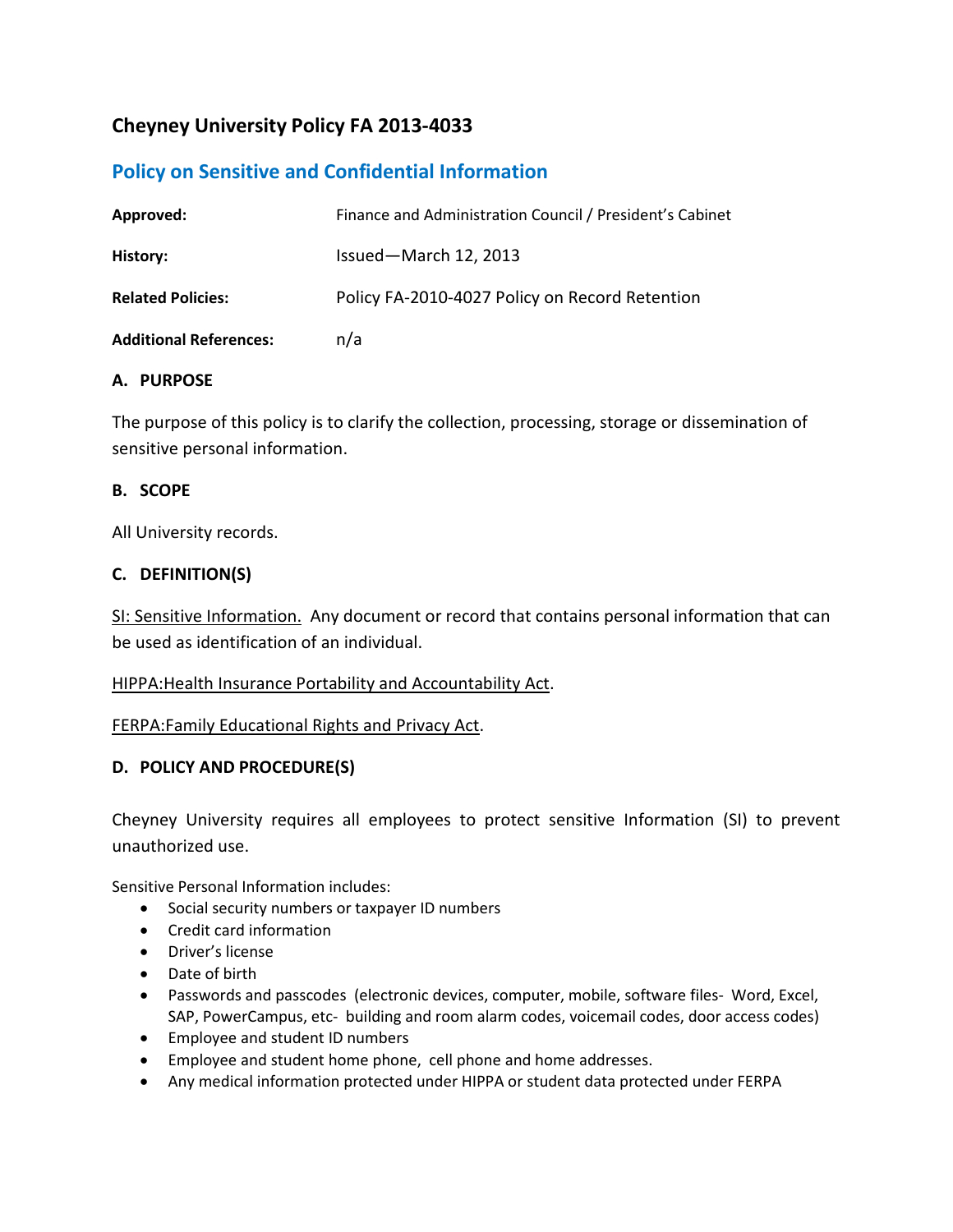# **Cheyney University Policy FA 2013-4033**

# **Policy on Sensitive and Confidential Information**

| Approved:                     | Finance and Administration Council / President's Cabinet |
|-------------------------------|----------------------------------------------------------|
| History:                      | Issued-March 12, 2013                                    |
| <b>Related Policies:</b>      | Policy FA-2010-4027 Policy on Record Retention           |
| <b>Additional References:</b> | n/a                                                      |

## **A. PURPOSE**

The purpose of this policy is to clarify the collection, processing, storage or dissemination of sensitive personal information.

## **B. SCOPE**

All University records.

## **C. DEFINITION(S)**

SI: Sensitive Information. Any document or record that contains personal information that can be used as identification of an individual.

### HIPPA:Health Insurance Portability and Accountability Act.

### FERPA:Family Educational Rights and Privacy Act.

### **D. POLICY AND PROCEDURE(S)**

Cheyney University requires all employees to protect sensitive Information (SI) to prevent unauthorized use.

Sensitive Personal Information includes:

- Social security numbers or taxpayer ID numbers
- Credit card information
- Driver's license
- Date of birth
- Passwords and passcodes (electronic devices, computer, mobile, software files- Word, Excel, SAP, PowerCampus, etc- building and room alarm codes, voicemail codes, door access codes)
- Employee and student ID numbers
- Employee and student home phone, cell phone and home addresses.
- Any medical information protected under HIPPA or student data protected under FERPA